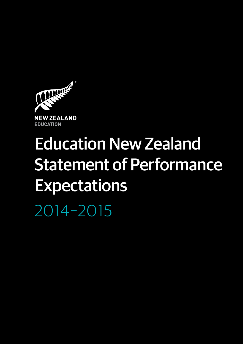

# Education New Zealand Statement of Performance **Expectations**

2014–2015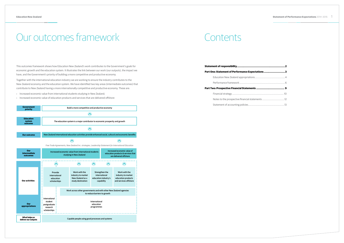# Our outcomes framework

This outcomes framework shows how Education New Zealand's work contributes to the Government's goals for economic growth and the education system. It illustrates the link between our work (our outputs), the impact we have, and the Government's priority of building a more competitive and productive economy.

Together with the international education industry we are working to ensure the industry contributes to the New Zealand economy and the education system. We have identified two key areas (intermediate outcomes) that contribute to New Zealand having a more internationally competitive and productive economy. These are:

- › Increased economic value from international students studying in New Zealand;
- › Increased economic value of education products and services that are delivered offshore

# Contents

# **Statement of responsibility...**

# **Part One: Statement of Performance Expectations**

Education New Zealand appropriations.........

Performance framework...

# **Part Two: Prospective Financial Statements ......................................... 9**

# Financial strategy ...

Notes to the prospective financial statement

Statement of accounting policies...



| .<br>ns3 |  |  |  |  |  |  |  |  |  |  |  |  |  |  |  |  |  |
|----------|--|--|--|--|--|--|--|--|--|--|--|--|--|--|--|--|--|
|          |  |  |  |  |  |  |  |  |  |  |  |  |  |  |  |  |  |
|          |  |  |  |  |  |  |  |  |  |  |  |  |  |  |  |  |  |
|          |  |  |  |  |  |  |  |  |  |  |  |  |  |  |  |  |  |
|          |  |  |  |  |  |  |  |  |  |  |  |  |  |  |  |  |  |
|          |  |  |  |  |  |  |  |  |  |  |  |  |  |  |  |  |  |
|          |  |  |  |  |  |  |  |  |  |  |  |  |  |  |  |  |  |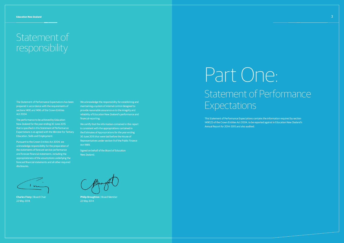# Statement of responsibility

The Statement of Performance Expectations has been prepared in accordance with the requirements of sections 149E and 149G of the Crown Entities Act 2004.

The performance to be achieved by Education New Zealand for the year ending 30 June 2015 that is specified in this Statement of Performance Expectations is as agreed with the Minister for Tertiary Education, Skills and Employment.

Pursuant to the Crown Entities Act 2004, we acknowledge responsibility for the preparation of the statements of forecast service performance and forecast financial statements, including the appropriateness of the assumptions underlying the forecast financial statements and all other required disclosures.

We acknowledge the responsibility for establishing and maintaining a system of internal control designed to provide reasonable assurance as to the integrity and reliability of Education New Zealand's performance and financial reporting.

We certify that the information contained in this report is consistent with the appropriations contained in the Estimates of Appropriations for the year ending 30 June 2015 that were laid before the House of Representatives under section 9 of the Public Finance Act 1989.

Signed on behalf of the Board of Education New Zealand.

This Statement of Performance Expectations contains the information required by section 149E(2) of the Crown Entities Act 2004, to be reported against in Education New Zealand's Annual Report for 2014-2015 and also audited.



**Charles Finny** | Board Chair 22 May 2014

**Philip Broughton** | Board Member 22 May 2014

# Part One: Statement of Performance Expectations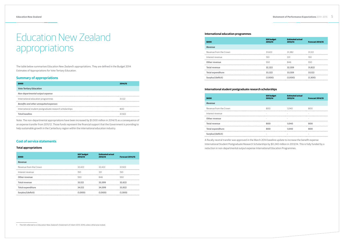# Education New Zealand appropriations

The table below summarises Education New Zealand's appropriations. They are defined in the Budget 2014 Estimates of Appropriations for Vote Tertiary Education.

# **Summary of appropriations**

| \$000                                                    | 2014/15 |
|----------------------------------------------------------|---------|
| <b>Vote Tertiary Education</b>                           |         |
| Non-departmental output expense                          |         |
| International education programmes                       | 31.122  |
| <b>Benefits and other unrequited expenses</b>            |         |
| International student postgraduate research scholarships | 800     |
| <b>Total baseline</b>                                    | 31.922  |

Note: The non-departmental appropriations have been increased by \$1.000 million in 2014/15 as a consequence of an expense transfer from 2011/12. Those funds represent the financial support that the Government is providing to help sustainable growth in the Canterbury region within the international education industry.

# **Cost of service statements**

# **Total appropriations**

| \$000                    | SOI <sup>1</sup> budget<br>2013/14 | <b>Estimated actual</b><br>2013/14 | <b>Forecast 2014/15</b> |
|--------------------------|------------------------------------|------------------------------------|-------------------------|
| <b>Revenue</b>           |                                    |                                    |                         |
| Revenue from the Crown   | 32.422                             | 32.422                             | 31.922                  |
| Interest revenue         | 150                                | 331                                | 150                     |
| Other revenue            | 550                                | 846                                | 550                     |
| <b>Total revenue</b>     | 33.122                             | 33,599                             | 32.622                  |
| <b>Total expenditure</b> | 34.122                             | 34.599                             | 33.922                  |
| Surplus/(deficit)        | (1.000)                            | (1,000)                            | (1.300)                 |

# **International education programmes**

| \$000                  | <b>SOI budget</b><br>2013/14 | <b>Estimated actual</b><br>2013/14 | <b>Forecast 2014/15</b> |
|------------------------|------------------------------|------------------------------------|-------------------------|
| <b>Revenue</b>         |                              |                                    |                         |
| Revenue from the Crown | 31.622                       | 31.382                             | 31.122                  |
| Interest revenue       | 150                          | 331                                | 150                     |
| Other revenue          | 550                          | 846                                | 550                     |
| Total revenue          | 32.322                       | 32.559                             | 31.822                  |
| Total expenditure      | 33,322                       | 33.559                             | 33.122                  |
| Surplus/(deficit)      | (1,000)                      | (1,000)                            | (1.300)                 |

# **International student postgraduate research scholarships**

| \$000                    | <b>SOI budget</b><br>2013/14 | <b>Estimated actual</b><br>2013/14 | <b>Forecast 2014/15</b> |
|--------------------------|------------------------------|------------------------------------|-------------------------|
| <b>Revenue</b>           |                              |                                    |                         |
| Revenue from the Crown   | 800                          | 1.040                              | 800                     |
| Interest revenue         |                              |                                    | $\sim$                  |
| Other revenue            | $\sim$                       |                                    | $\sim$                  |
| <b>Total revenue</b>     | 800                          | 1.040                              | 800                     |
| <b>Total expenditure</b> | 800                          | 1.040                              | 800                     |
| Surplus/(deficit)        |                              |                                    |                         |

A fiscally neutral transfer was approved in the March 2014 baseline update to increase the benefit expense International Student Postgraduate Research Scholarships by \$0.240 million in 2013/14. This is fully funded by a reduction in non-departmental output expense International Education Programmes.

1 The SOI referred to is Education New Zealand's Statement of Intent 2013-2016 unless otherwise stated.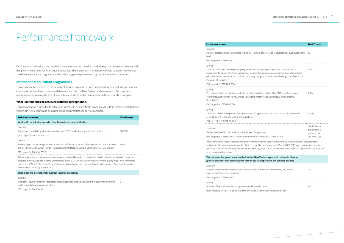Our focus is on delivering a high level of activity in support of the education industry to achieve our outcomes and the government's goals for international education. The measures in these pages will help us assess how well we are delivering our work programme and contributing to the government's goals for international education.

# **International education programmes**

This appropriation is limited to the delivery of services in respect of international education, including promotion, information, research and professional development, both in New Zealand and overseas, for the purpose of managing and increasing the flow of international students and promoting international education linkages.

# **What is intended to be achieved with this appropriation?**

This appropriation is intended to achieve an increase in New Zealand's economic value from international students studying in New Zealand and delivering education products and services offshore.

Industry professional development programme: Numbe held.

Industry professional development programme: Percent above with the quality of ENZ's capability development education sector or sub-sector. (Satisfaction survey ratin Concerns, Dissatisfied)

| <b>Performance measure</b>                                                                                                                                                                                                                                                                                                                                                                                                       | 2014/15 target |  |  |  |
|----------------------------------------------------------------------------------------------------------------------------------------------------------------------------------------------------------------------------------------------------------------------------------------------------------------------------------------------------------------------------------------------------------------------------------|----------------|--|--|--|
| Work with the industry to market New Zealand as a study destination                                                                                                                                                                                                                                                                                                                                                              |                |  |  |  |
| Quantity                                                                                                                                                                                                                                                                                                                                                                                                                         |                |  |  |  |
| Number of referrals to institutional websites from ENZ's student portal in targeted markets.                                                                                                                                                                                                                                                                                                                                     | 60,000         |  |  |  |
| (SOI target for 2013/14: 40,000)                                                                                                                                                                                                                                                                                                                                                                                                 |                |  |  |  |
| Quality                                                                                                                                                                                                                                                                                                                                                                                                                          |                |  |  |  |
| Percentage of participating institutions that are satisfied or above with the quality of ENZ's promotional<br>events. (Satisfaction survey ratings = Excellent, Mostly Happy, Satisfied, Some Concerns, Dissatisfied)                                                                                                                                                                                                            | 90%            |  |  |  |
| (SOI target for 2013/14: 85%)                                                                                                                                                                                                                                                                                                                                                                                                    |                |  |  |  |
| Please refer to the impact measure, the awareness of New Zealand as an international education destination is increased in<br>targeted markets, on page 18 of the Statement of Intent 2014-2018 as a proxy measure for the quality of our work to increase<br>awareness of New Zealand as a study destination. It is an impact measure to reflect the effectiveness of our work to market<br>New Zealand as a study destination. |                |  |  |  |
| Strengthen the international education industry's capability                                                                                                                                                                                                                                                                                                                                                                     |                |  |  |  |
| Quantity                                                                                                                                                                                                                                                                                                                                                                                                                         |                |  |  |  |
| Number of country or soctor sposific roadshous leapforances hold to assist the industry in potworking E                                                                                                                                                                                                                                                                                                                          |                |  |  |  |

Percentage of attendees that are satisfied or above with conference. (Satisfaction survey ratings = Excellent, Most Dissatisfied)

International education growth fund: Percentage of appl accordance with specified criteria and guidelines.

(SOI target for 2013/14: 2013/14 work programme is delive *Please refer to the impact measure, increase the number markets to help grow international education, on page 21 quality of our work to encourage the industry to work together. It is an impact measure to reflect the effectiveness of our work to encourage collaboration.*

# Work across other governments and with other New growth, and work with the industry to market educat

Number of country or sector specific roadshows /conferences held to assist the industry in networking 5 and to identify business opportunities.

Number of commercial introductions worked on with the governments/education providers.

(SOI target for 2013/14: 5)

# **Performance measure**

# Performance framework

# *Quantity*

## (SOI target for 2013/14: 12)

## *Quality*

# (SOI target for 2013/14: 80%)

## *Quality*

# (SOI target for 2013/14: 80%)

# *Quality*

(SOI target for 2013/14: 100%)

### *Timeliness*

Deliver the agreed Christchurch Industry Support Progra

|                                                                                                                                                                                                                                                     | 2014/15 target                                                |
|-----------------------------------------------------------------------------------------------------------------------------------------------------------------------------------------------------------------------------------------------------|---------------------------------------------------------------|
| r of professional development events/seminars                                                                                                                                                                                                       | 12                                                            |
|                                                                                                                                                                                                                                                     |                                                               |
| tage of participants that are satisfied or<br>programmes/seminars for their international<br>1gs = Excellent, Mostly Happy, Satisfied, Some                                                                                                         | 85%                                                           |
| the quality of the ENZ-organised industry<br>stly Happy, Satisfied, Some Concerns,                                                                                                                                                                  | 85%                                                           |
| lications that are assessed and processed in                                                                                                                                                                                                        | 100%                                                          |
| amme.<br>vered by 30 June 2014.)<br>of new offshore collaborative industry projects set up in target<br>of the Statement of Intent 2014-2018 as a proxy measure for the<br>jether. It is an impact measure to reflect the effectiveness of our work | 2014/15 work<br>programme is<br>delivered by<br>30 June 2015. |
| Zealand agencies to reduce barriers to<br>ion products and services offshore                                                                                                                                                                        |                                                               |
| e New Zealand industry and foreign                                                                                                                                                                                                                  | 250                                                           |
| uctions.                                                                                                                                                                                                                                            | 40                                                            |
| of the introductions made)                                                                                                                                                                                                                          |                                                               |
|                                                                                                                                                                                                                                                     |                                                               |

## *Quantity*

(SOI target for 2013/14: 200)

## *Quality*

Number of leads established through commercial introductions.

(New measure for 2014/15 to measure the effectiveness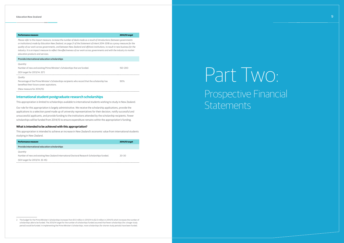# **Performance measure 2014/15 target**

*Please refer to the impact measure, increase the number of deals made as a result of introductions (between governments or institutions) made by Education New Zealand, on page 21 of the Statement of Intent 2014-2018 as a proxy measure for the quality of our work across governments, and between New Zealand and offshore institutions, to result in new business for the industry. It is an impact measure to reflect the effectiveness of our work across governments and with the industry to market education products and services.*

| Provide international education scholarships                                                                                                 |             |
|----------------------------------------------------------------------------------------------------------------------------------------------|-------------|
| Quantity                                                                                                                                     |             |
| Number of new and existing Prime Minister's Scholarships that are funded.                                                                    | $150 - 200$ |
| (SOI target for 2013/14: 20 <sup>2</sup> )                                                                                                   |             |
| Quality                                                                                                                                      |             |
| Percentage of the Prime Minister's Scholarships recipients who record that the scholarship has<br>benefited their future career aspirations. | 90%         |
| (New measure for 2014/15)                                                                                                                    |             |

# **International student postgraduate research scholarships**

This appropriation is limited to scholarships available to international students wishing to study in New Zealand.

# Part Two: Prospective Financial **Statements**

Our role for this appropriation is largely administrative. We receive the scholarship applications, provide the applications to a selection panel made up of university representatives for their decision, notify successful and unsuccessful applicants, and provide funding to the institutions attended by the scholarship recipients. Fewer scholarships will be funded from 2014/15 to ensure expenditure remains within the appropriation's funding.

# **What is intended to be achieved with this appropriation?**

This appropriation is intended to achieve an increase in New Zealand's economic value from international students studying in New Zealand.

| <b>Performance measure</b>                                                                  | 2014/15 target |
|---------------------------------------------------------------------------------------------|----------------|
| Provide international education scholarships                                                |                |
| Quantity                                                                                    |                |
| Number of new and existing New Zealand International Doctoral Research Scholarships funded. | $20 - 30$      |
| (SOI target for 2013/14: 35-45)                                                             |                |

2 The budget for the Prime Minister's Scholarships increases from \$1.0 million in 2013/14 to \$2.0 million in 2014/15 which increases the number of scholarships able to be funded. The 2013/14 target for the number of scholarships funded assumed that fewer scholarships (for a longer study period) would be funded. In implementing the Prime Minister's Scholarships, more scholarships (for shorter study periods) have been funded.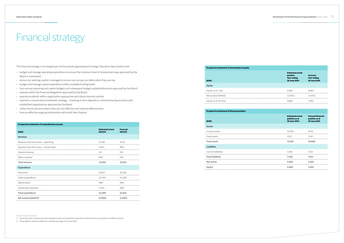# Financial strategy

This financial strategy is an integral part of the overall organisational strategy. Education New Zealand will:

- › budget and manage operating expenditure to ensure the minimum level of retained earnings approved by the Board is maintained
- › ensure our working capital is managed to ensure we can pay our debts when they are due
- › budget and manage capital expenditure within available funding levels
- › have annual operating and capital budgets and subsequent budget update/reforecasts approved by the Board
- › operate within the financial delegations approved by the Board
- › operate prudently within organisation appropriate and robust internal controls
- › maintain a conservative investment strategy investing in term deposits or interest bearing accounts with established organisations approved by the Board
- › utilise shared services where they are cost effective and improve effectiveness
- › have an effective ongoing relationship with Audit New Zealand.

# **Prospective statement of comprehensive income**

| \$000                                 | <b>Estimated actual</b><br>2013/14 | <b>Forecast</b><br>2014/15 |
|---------------------------------------|------------------------------------|----------------------------|
| <b>Revenue</b>                        |                                    |                            |
| Revenue from the Crown - Operating    | 31,382                             | 31,122                     |
| Revenue from the Crown - Scholarships | 1.040                              | 800                        |
| Interest revenue                      | 331                                | 150                        |
| Other revenue <sup>3</sup>            | 846                                | 550                        |
| <b>Total revenue</b>                  | 33,599                             | 32,622                     |
| <b>Expenditure</b>                    |                                    |                            |
| Personnel                             | 10,627                             | 10,356                     |
| Other expenditure                     | 22,544                             | 22,280                     |
| Depreciation                          | 388                                | 486                        |
| Scholarship expenses                  | 1.040                              | 800                        |
| <b>Total expenditure</b>              | 34.599                             | 33.922                     |
| Net surplus/(deficit) <sup>4</sup>    | (1,000)                            | (1,300)                    |

|  | <b>Prospective statement of movements in equity</b> |  |  |  |
|--|-----------------------------------------------------|--|--|--|

# **\$000**

# *Equity*

Equity as at 1 July

- Net surplus/(deficit)
- Equity as at 30 June

**\$000**

| Prospective statement of movements in equity<br>\$000 | <b>Estimated actual</b><br>position<br><b>Year ending</b><br><b>30 June 2014</b> | <b>Forecast</b><br><b>Year ending</b><br>30 June 2015              |
|-------------------------------------------------------|----------------------------------------------------------------------------------|--------------------------------------------------------------------|
| <b>Equity</b>                                         |                                                                                  |                                                                    |
| Equity as at 1 July                                   | 5,862                                                                            | 4,862                                                              |
| Net surplus/(deficit)                                 | (1,000)                                                                          | (1,300)                                                            |
| Equity as at 30 June                                  | 4.862                                                                            | 3.562                                                              |
|                                                       |                                                                                  |                                                                    |
| <b>Prospective statement of financial position</b>    |                                                                                  |                                                                    |
| \$000                                                 | <b>Estimated actual</b><br>position as at<br><b>30 June 2014</b>                 | <b>Forecast financial</b><br>position as at<br><b>30 June 2015</b> |
| Assets                                                |                                                                                  |                                                                    |
| Current assets                                        | 10,593                                                                           | 9,145                                                              |
| Fixed assets                                          | <br>1.507                                                                        | - 1.541                                                            |
| <b>Total assets</b>                                   | 12.100                                                                           | 10,686                                                             |
| <b>Liabilities</b>                                    |                                                                                  |                                                                    |
| Current liabilities                                   | 7.238                                                                            | 7.124                                                              |
| <b>Total liabilities</b>                              | 7,238                                                                            | 7,124                                                              |
| <b>Net assets</b>                                     | 4,862                                                                            | 3,562                                                              |
|                                                       |                                                                                  |                                                                    |

# **Prospective statement of financial position** *Assets*

# Current assets

Fixed assets

**Total assets 12,100 10,686**

# *Liabilities*

Current liabilities

- **Total liabilities 7,238 7,124**
- **Net assets 4,862 3,562**
- 

<sup>4</sup> These deficits will be funded from retained earnings at 30 June 2014.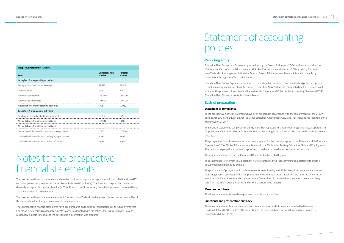| <b>Prospective statement of cash flow</b>              |                                    |                            |
|--------------------------------------------------------|------------------------------------|----------------------------|
| \$000                                                  | <b>Estimated actual</b><br>2013/14 | <b>Forecast</b><br>2014/15 |
| <b>Cash flows from operating activities</b>            |                                    |                            |
| Receipts from the Crown - Revenue                      | 32.422                             | 31.922                     |
| Other revenue                                          | 1.177                              | 700                        |
| Payments to suppliers                                  | (23.797)                           | (23.400)                   |
| Payments to employees                                  | (10.600)                           | (10.400)                   |
| Net cash flows from operating activities               | (798)                              | (1,178)                    |
| <b>Cash flows from investing activities</b>            |                                    |                            |
| Purchase of property, plant and equipment              | (1.054)                            | (520)                      |
| Net cash flows from investing activities               | (1.054)                            | (520)                      |
| Net cash flows from financing activities               |                                    |                            |
| Net increase/(decrease) in cash and cash equivalents   | (1.852)                            | (1.698)                    |
| Cash and cash equivalents at the beginning of the year | 9.545                              | 7.693                      |
| Cash and cash equivalents at the end of the year       | 7,693                              | 5.995                      |

# Notes to the prospective financial statements

The prospective financial statements are based on policies and approvals in place as at 1 March 2014 and are GST exclusive (except for payables and receivables which are GST inclusive). The forecasts are prepared under the Generally Accepted Accounting Practice (NZGAAP). Actual results may vary from the information presented here, and the variations may be material.

The prospective financial statements set out Education New Zealand's activities and planned performance. Use of this information for other purposes may not be appropriate.

These prospective financial statements have been prepared on the basis of assumptions as to future events that Education New Zealand reasonably expects to occur, associated with the actions that Education New Zealand reasonably expects to take, as at the date that this information was prepared.

# Statement of accounting policies

# **Reporting entity**

Education New Zealand is a Crown entity as defined by the Crown Entities Act 2004, and was established on 1 September 2011 under the Education Act 1989 (the Education Amendment Act 2011). As such, Education New Zealand's ultimate parent is the New Zealand Crown. Education New Zealand is funded primarily by government through Vote Tertiary Education.

Education New Zealand's primary objective is to provide public services to the New Zealand public, as opposed to that of making a financial return. Accordingly, Education New Zealand has designated itself as a public benefit entity for the purposes of New Zealand Equivalents to International Public Sector Accounting Standards (IPSAS). Education New Zealand is domiciled in New Zealand.

# **Basis of preparation**

# **Statement of compliance**

These prospective financial statements have been prepared in accordance with the requirements of the Crown Entities Act 2004 and Education Act 1989 (the Education Amendment Act 2011). This includes the requirement to comply with NZGAAP.

The financial statements comply with NZIFRS, and other applicable Financial Reporting Standards, as appropriate for public benefit entities. This includes New Zealand Reporting Standard No. 42: Prospective Financial Statements (FRS-42).

The prospective financial statements have been prepared for the special purpose of the Statement of Performance Expectations 2014-2015 of Education New Zealand to the Minister for Tertiary Education, Skills and Employment. They are not prepared for any other purpose and should not be relied upon for any other purpose.

These statements will be used in the Annual Report as the budgeted figures.

The Statement of Performance Expectations narrative informs the prospective financial statements and the document should be read as a whole.

The preparation of prospective financial statements in conformity with FRS-42 requires management to make good judgements, estimates and assumptions that affect the application of policies and reported amounts of assets and liabilities, income and expenses. Actual financial results achieved for the period covered are likely to vary from the information presented and the variations may be material.

# **Measurement base**

The financial statements have been prepared on a historical cost basis.

# **Functional and presentation currency**

The financial statements are presented in New Zealand dollars and all values are rounded to the nearest thousand dollars (\$000), unless otherwise stated. The functional currency of Education New Zealand is New Zealand dollars (NZ\$).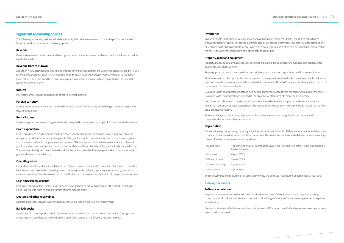# **Significant accounting policies**

The following accounting policies, which significantly affect the measurement of financial performance and of financial position, have been consistently applied.

# **Revenue**

Revenue is measured at fair value and is recognised as income when earned and is reported in the financial period to which it relates.

# **Revenue from the Crown**

Education New Zealand is primarily funded through revenue received from the Crown, which is restricted in its use for the purpose of Education New Zealand meeting its objectives as specified in this Statement of Performance Expectations. Revenue from the Crown is recognised as revenue when earned and is reported in the financial period to which it relates.

# **Interest**

Interest income is recognised using the effective interest method.

# **Foreign currency**

Foreign currency transactions are translated into New Zealand dollars using the exchange rates prevailing at the date of transaction.

# **Rental income**

Lease receipts under an operating sub-lease are recognised as revenue on a straight-line basis over the lease term.

# **Grant expenditure**

Grants are approved and administered by ENZ for a variety of purposes and periods. When approved they are recognised as a liability. Subsequent payment of the grant amounts is dependent on the recipient meeting terms and conditions laid out in the grant contract between ENZ and the recipient. At balance date for each different grant type an assessment is made, based on historical data of the probability of the grant actually being taken up. The asset and liability are then adjusted to reflect the revised probable future payment. Grant cessations reflect grant entitlements not taken up.

# **Operating leases**

Leases that do not transfer substantially all the risks and rewards incidental to ownership of an asset to Education New Zealand are classified as operating leases. Lease payments under an operating lease are recognised as an expense on a straight-line basis over the term of the lease in the prospective statement of comprehensive income.

# **Cash and cash equivalents**

Cash and cash equivalents include cash on hand, deposits held on call with banks and other short-term, highly liquid investments, with original maturities of three months or less.

# **Debtors and other receivables**

Debtors and other receivables are measured at fair value, less any provision for impairment.

# **Bank deposits**

Investments in bank deposits are initially measured at fair value plus transaction costs. After initial recognition, investments in bank deposits are measured at amortised cost using the effective interest method.

# **Inventories**

Inventories held for distribution are measured at cost (calculated using the First In First Out basis), adjusted, when applicable, for any loss of service potential. The loss of service potential of inventory held for distribution is determined on the basis of obsolescence. Where inventories are acquired at no cost or for nominal consideration the cost is the current replacement cost at the date of acquisition.

# **Property, plant and equipment**

Property, plant and equipment asset classes consist of building fit out, computers, furniture and fittings, office equipment and motor vehicles.

Property, plant and equipment are shown at cost, less any accumulated depreciation and impairment losses.

The cost of an item of property, plant and equipment is recognised as an asset only when it is probable that future economic benefits or service potential associated with the item will flow to Education New Zealand and the cost of the item can be measured reliably.

Gains and losses on disposals are determined by comparing the proceeds with the carrying amount of the asset. Gains and losses on disposals are included in the prospective statement of comprehensive income.

Costs incurred subsequent to initial acquisition are capitalised only when it is probable that future economic benefits or service potential associated with the item will flow to Education New Zealand and the cost of the item can be measured reliably.

The costs of day-to-day servicing of property, plant and equipment are recognised in the statement of comprehensive income as they are incurred.

# **Depreciation**

Depreciation is provided using the straight line basis at rates that will write off the cost (or valuation) of the assets to their estimated residual values over their useful lives. The useful lives and associated depreciation rates of major classes of assets have been estimated as follows:

| Building fit out       | The shorter of 10 years 10% straight line (SL) or the remaining term of the lease of the building that<br>has been fitted out |
|------------------------|-------------------------------------------------------------------------------------------------------------------------------|
| Computers              | 4 years 25% SL                                                                                                                |
| Office equipment       | 5 years 20% SL                                                                                                                |
| Furniture and fittings | 5 years 20% SL                                                                                                                |
| Motor vehicles         | 4 years 25% SL                                                                                                                |
|                        | he residual value and useful life of an asset is reviewed, and adjusted if applicable, at each financial year end.            |

| Building fit out       | The shorter of 10 years 10% st<br>has been fitted out |
|------------------------|-------------------------------------------------------|
| Computers              | 4 years 25% SL                                        |
| Office equipment       | 5 years 20% SL                                        |
| Furniture and fittings | 5 years 20% SL                                        |
| Motor vehicles         | 4 years 25% SL                                        |
|                        |                                                       |

# **Intangible assets:**

# **Software acquisition**

Acquired computer software licenses are capitalised on the basis of the costs incurred to acquire and bring to use the specific software. Costs associated with maintaining computer software are recognised as an expense when incurred.

Costs associated with the development and maintenance of Education New Zealand websites are recognised as an expense when incurred.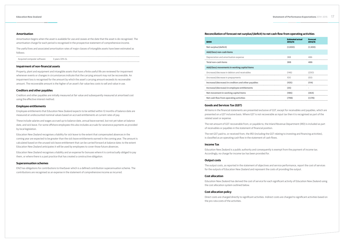# **Amortisation**

Amortisation begins when the asset is available for use and ceases at the date that the asset is de-recognised. The amortisation charge for each period is recognised in the prospective statement of comprehensive income.

The useful lives and associated amortisation rates of major classes of intangible assets have been estimated as follows:

| Acquired computer software | 3 years 33% SL |
|----------------------------|----------------|
|----------------------------|----------------|

# **Impairment of non-financial assets**

Property, plant and equipment and intangible assets that have a finite useful life are reviewed for impairment whenever events or changes in circumstances indicate that the carrying amount may not be recoverable. An impairment loss is recognised for the amount by which the asset's carrying amount exceeds its recoverable amount. The recoverable amount is the higher of an asset's fair value less costs to sell and value in use.

# **Creditors and other payables**

Creditors and other payables are initially measured at fair value and subsequently measured at amortised cost using the effective interest method.

# **Employee entitlements**

Employee entitlements that Education New Zealand expects to be settled within 12 months of balance date are measured at undiscounted nominal values based on accrued entitlements at current rates of pay.

Depreciation and amortisation expense **Total non-cash items 388 486**

These include salaries and wages accrued up to balance date, annual leave earned, but not yet taken at balance date, and sick leave. For some offshore employees this also includes accruals for severance payments as provided by local legislation.

Education New Zealand recognises a liability for sick leave to the extent that compensated absences in the coming year are expected to be greater than the sick leave entitlements earned in the coming year. The amount is calculated based on the unused sick leave entitlement that can be carried forward at balance date; to the extent Education New Zealand anticipates it will be used by employees to cover those future absences.

Education New Zealand recognises a liability and an expense for bonuses where it is contractually obliged to pay them, or where there is a past practice that has created a constructive obligation.

# **Superannuation schemes**

ENZ has obligations for contributions to KiwiSaver which is a defined contribution superannuation scheme. The contributions are recognised as an expense in the statement of comprehensive income as incurred.

# **Reconciliation of forecast net surplus/(deficit) to net cash flow from operating activities**

### **\$000**

 $Net surplus/(deficit)$ 

|                 | <b>Estimated actual</b><br>2013/14 | <b>Forecast</b><br>2014/15 |
|-----------------|------------------------------------|----------------------------|
|                 | (1,000)                            | (1,300)                    |
|                 |                                    |                            |
|                 | 388                                | 486                        |
|                 | 388                                | 486                        |
|                 |                                    |                            |
|                 |                                    |                            |
|                 |                                    |                            |
| $(105)$ $(114)$ |                                    |                            |
|                 |                                    |                            |
|                 | (186)                              | (364)                      |
|                 | (798)                              | (1,178)                    |
|                 |                                    |                            |

## **Add/(less) non-cash items**

## **Add/(less) movements in working capital items**

(Increase)/decrease in debtors and receivables

- (Increase)/decrease in prepayments
- **Increase/(decrease) in creditors and other payables**

**Increase/(decrease) in employee entitlements (35) -**

**Net movement in working capital items (186) (364)**

**Net cash flow from operating activities (798) (1,178)**

# **Goods and Services Tax (GST)**

All items in the financial statements are presented exclusive of GST, except for receivables and payables, which are presented on a GST inclusive basis. Where GST is not recoverable as input tax then it is recognised as part of the related asset or expense.

The net amount of GST recoverable from, or payable to, the Inland Revenue Department (IRD) is included as part of receivables or payables in the statement of financial position.

The net GST paid to, or received from, the IRD (including the GST relating to investing and financing activities), is classified as an operating cash flow in the statement of cash flows.

## **Income Tax**

Education New Zealand is a public authority and consequently is exempt from the payment of income tax. Accordingly, no charge for income tax has been provided for.

## **Output costs**

The output costs, as reported in the statement of objectives and service performance, report the cost of services for the outputs of Education New Zealand and represent the costs of providing the output.

# **Cost allocation**

Education New Zealand has derived the cost of service for each significant activity of Education New Zealand using

the cost allocation system outlined below.

# **Cost allocation policy**

Direct costs are charged directly to significant activities. Indirect costs are charged to significant activities based on the pro-rata costs of the activities.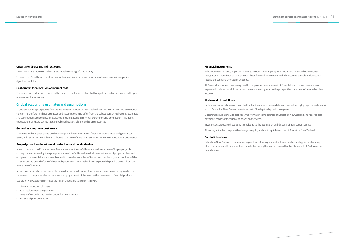# **Criteria for direct and indirect costs**

'Direct costs' are those costs directly attributable to a significant activity.

'Indirect costs' are those costs that cannot be identified in an economically feasible manner with a specific significant activity.

# **Cost drivers for allocation of indirect cost**

The cost of internal services not directly charged to activities is allocated to significant activities based on the prorata costs of the activities.

# **Critical accounting estimates and assumptions**

In preparing these prospective financial statements, Education New Zealand has made estimates and assumptions concerning the future. These estimates and assumptions may differ from the subsequent actual results. Estimates and assumptions are continually evaluated and are based on historical experience and other factors, including expectations of future events that are believed reasonable under the circumstances.

# **General assumption – cost levels**

These figures have been based on the assumption that interest rates, foreign exchange rates and general cost levels, will remain at similar levels to those at the time of the Statement of Performance Expectations preparation.

# **Property, plant and equipment useful lives and residual value**

At each balance date Education New Zealand reviews the useful lives and residual values of its property, plant and equipment. Assessing the appropriateness of useful life and residual value estimates of property, plant and equipment requires Education New Zealand to consider a number of factors such as the physical condition of the asset, expected period of use of the asset by Education New Zealand, and expected disposal proceeds from the future sale of the asset.

An incorrect estimate of the useful life or residual value will impact the depreciation expense recognised in the statement of comprehensive income, and carrying amount of the asset in the statement of financial position.

Education New Zealand minimises the risk of this estimation uncertainty by:

- › physical inspection of assets
- › asset replacement programmes
- › review of second-hand market prices for similar assets
- › analysis of prior asset sales.

# **Financial instruments**

Education New Zealand, as part of its everyday operations, is party to financial instruments that have been recognised in these financial statements. These financial instruments include accounts payable and accounts receivable, cash and short term deposits.

All financial instruments are recognised in the prospective statement of financial position, and revenues and expenses in relation to all financial instruments are recognised in the prospective statement of comprehensive income.

# **Statement of cash flows**

Cash means cash balances on hand, held in bank accounts, demand deposits and other highly liquid investments in which Education New Zealand invests as part of its day-to-day cash management.

Operating activities include cash received from all income sources of Education New Zealand and records cash payments made for the supply of goods and services.

Investing activities are those activities relating to the acquisition and disposal of non-current assets.

Financing activities comprise the change in equity and debt capital structure of Education New Zealand.

# **Capital intentions**

Education New Zealand is forecasting to purchase office equipment, information technology items, building fit out, furniture and fittings, and motor vehicles during the period covered by this Statement of Performance Expectations.